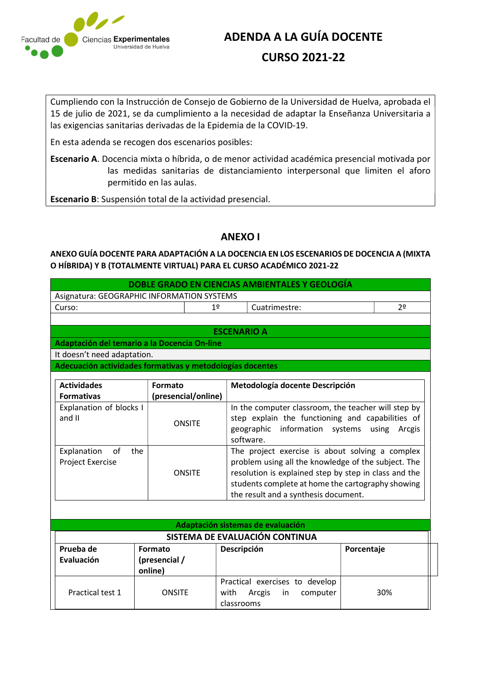

## ADENDA A LA GUÍA DOCENTE CURSO 2021-22

Cumpliendo con la Instrucción de Consejo de Gobierno de la Universidad de Huelva, aprobada el 15 de julio de 2021, se da cumplimiento a la necesidad de adaptar la Enseñanza Universitaria a las exigencias sanitarias derivadas de la Epidemia de la COVID-19.

En esta adenda se recogen dos escenarios posibles:

Escenario A. Docencia mixta o híbrida, o de menor actividad académica presencial motivada por las medidas sanitarias de distanciamiento interpersonal que limiten el aforo permitido en las aulas.

Escenario B: Suspensión total de la actividad presencial.

### ANEXO I

ANEXO GUÍA DOCENTE PARA ADAPTACIÓN A LA DOCENCIA EN LOS ESCENARIOS DE DOCENCIA A (MIXTA O HÍBRIDA) Y B (TOTALMENTE VIRTUAL) PARA EL CURSO ACADÉMICO 2021-22

|                                            |    | DOBLE GRADO EN CIENCIAS AMBIENTALES Y GEOLOGÍA |    |
|--------------------------------------------|----|------------------------------------------------|----|
| Asignatura: GEOGRAPHIC INFORMATION SYSTEMS |    |                                                |    |
| Curso:                                     | 12 | Cuatrimestre:                                  | 2٥ |
|                                            |    |                                                |    |

#### ESCENARIO A

Adaptación del temario a la Docencia On-line It doesn't need adaptation.

Adecuación actividades formativas y metodologías docentes

| <b>Actividades</b><br><b>Formativas</b>              | Formato<br>(presencial/online) | Metodología docente Descripción                                                                                                                                                                                                                              |
|------------------------------------------------------|--------------------------------|--------------------------------------------------------------------------------------------------------------------------------------------------------------------------------------------------------------------------------------------------------------|
| Explanation of blocks I<br>and II                    | <b>ONSITE</b>                  | In the computer classroom, the teacher will step by<br>step explain the functioning and capabilities of<br>geographic information systems using<br>Arcgis<br>software.                                                                                       |
| Explanation<br>the<br>of.<br><b>Project Exercise</b> | ONSITE                         | The project exercise is about solving a complex<br>problem using all the knowledge of the subject. The<br>resolution is explained step by step in class and the<br>students complete at home the cartography showing<br>the result and a synthesis document. |

|                         |                                     | Adaptación sistemas de evaluación                                                          |            |
|-------------------------|-------------------------------------|--------------------------------------------------------------------------------------------|------------|
|                         |                                     | SISTEMA DE EVALUACIÓN CONTINUA                                                             |            |
| Prueba de<br>Evaluación | Formato<br>(presencial /<br>online) | Descripción                                                                                | Porcentaje |
| Practical test 1        | <b>ONSITE</b>                       | Practical exercises to develop<br>$\mathbf{m}$<br>Arcgis<br>with<br>computer<br>classrooms | 30%        |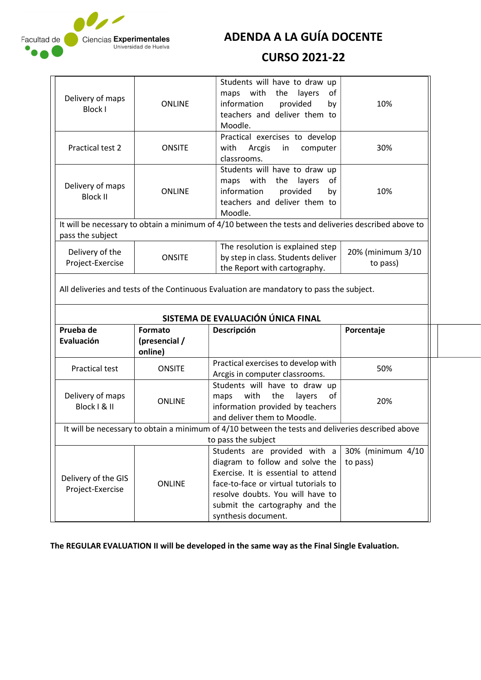

ADENDA A LA GUÍA DOCENTE

### CURSO 2021-22

| Delivery of maps<br><b>Block I</b>  | <b>ONLINE</b>                   | Students will have to draw up<br>with<br>the<br>layers<br>of<br>maps<br>information<br>provided<br>by<br>teachers and deliver them to<br>Moodle.                      | 10%                           |
|-------------------------------------|---------------------------------|-----------------------------------------------------------------------------------------------------------------------------------------------------------------------|-------------------------------|
| Practical test 2                    | <b>ONSITE</b>                   | Practical exercises to develop<br>with<br>Arcgis<br>computer<br>in<br>classrooms.                                                                                     | 30%                           |
| Delivery of maps<br><b>Block II</b> | <b>ONLINE</b>                   | Students will have to draw up<br>maps with<br>the<br>layers<br>of<br>information<br>provided<br>by<br>teachers and deliver them to<br>Moodle.                         | 10%                           |
| pass the subject                    |                                 | It will be necessary to obtain a minimum of 4/10 between the tests and deliveries described above to                                                                  |                               |
| Delivery of the<br>Project-Exercise | <b>ONSITE</b>                   | The resolution is explained step<br>by step in class. Students deliver<br>the Report with cartography.                                                                | 20% (minimum 3/10<br>to pass) |
|                                     |                                 | All deliveries and tests of the Continuous Evaluation are mandatory to pass the subject.                                                                              |                               |
| Prueba de<br>Evaluación             | <b>Formato</b><br>(presencial / | SISTEMA DE EVALUACIÓN ÚNICA FINAL<br>Descripción                                                                                                                      | Porcentaje                    |
|                                     | online)                         |                                                                                                                                                                       |                               |
| <b>Practical test</b>               | <b>ONSITE</b>                   | Practical exercises to develop with<br>Arcgis in computer classrooms.                                                                                                 | 50%                           |
| Delivery of maps<br>Block   & II    | <b>ONLINE</b>                   | Students will have to draw up<br>with<br>the<br>layers<br>of<br>maps<br>information provided by teachers<br>and deliver them to Moodle.                               | 20%                           |
|                                     |                                 | It will be necessary to obtain a minimum of 4/10 between the tests and deliveries described above                                                                     |                               |
| Delivery of the GIS                 | <b>ONLINE</b>                   | to pass the subject<br>Students are provided with a<br>diagram to follow and solve the<br>Exercise. It is essential to attend<br>face-to-face or virtual tutorials to | 30% (minimum 4/10<br>to pass) |

The REGULAR EVALUATION II will be developed in the same way as the Final Single Evaluation.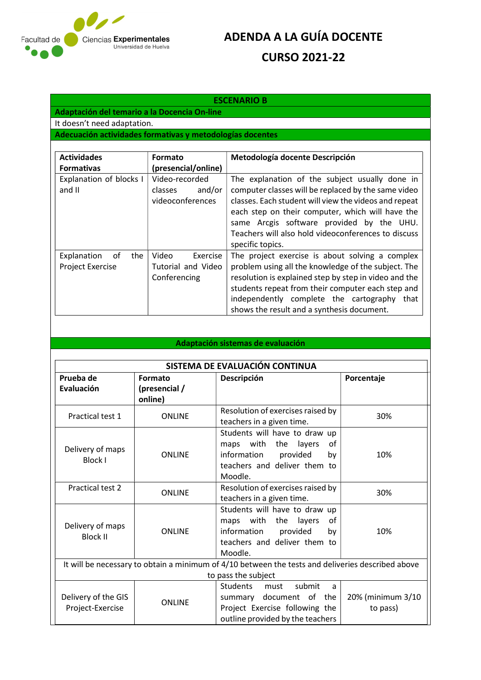

# ADENDA A LA GUÍA DOCENTE CURSO 2021-22

#### ESCENARIO B

Adaptación del temario a la Docencia On-line It doesn't need adaptation. Adecuación actividades formativas y metodologías docentes

| <b>Actividades</b><br><b>Formativas</b>        | Formato<br>(presencial/online)                          | Metodología docente Descripción                                                                                                                                                                                                                                                                                                            |
|------------------------------------------------|---------------------------------------------------------|--------------------------------------------------------------------------------------------------------------------------------------------------------------------------------------------------------------------------------------------------------------------------------------------------------------------------------------------|
| Explanation of blocks I<br>and II              | Video-recorded<br>and/or<br>classes<br>videoconferences | The explanation of the subject usually done in<br>computer classes will be replaced by the same video<br>classes. Each student will view the videos and repeat<br>each step on their computer, which will have the<br>same Arcgis software provided by the UHU.<br>Teachers will also hold videoconferences to discuss<br>specific topics. |
| Explanation<br>the<br>. of<br>Project Exercise | Video<br>Exercise<br>Tutorial and Video<br>Conferencing | The project exercise is about solving a complex<br>problem using all the knowledge of the subject. The<br>resolution is explained step by step in video and the<br>students repeat from their computer each step and<br>independently complete the cartography<br>that<br>shows the result and a synthesis document.                       |

#### Adaptación sistemas de evaluación

|                     |               | SISTEMA DE EVALUACIÓN CONTINUA                                                                    |                   |
|---------------------|---------------|---------------------------------------------------------------------------------------------------|-------------------|
| Prueba de           | Formato       | Descripción                                                                                       | Porcentaje        |
| Evaluación          | (presencial / |                                                                                                   |                   |
|                     | online)       |                                                                                                   |                   |
| Practical test 1    | <b>ONLINE</b> | Resolution of exercises raised by                                                                 | 30%               |
|                     |               | teachers in a given time.                                                                         |                   |
|                     |               | Students will have to draw up                                                                     |                   |
| Delivery of maps    |               | maps with the layers<br>οf                                                                        |                   |
| Block I             | <b>ONLINE</b> | information<br>provided<br>by                                                                     | 10%               |
|                     |               | teachers and deliver them to                                                                      |                   |
|                     |               | Moodle.                                                                                           |                   |
| Practical test 2    | <b>ONLINE</b> | Resolution of exercises raised by                                                                 | 30%               |
|                     |               | teachers in a given time.                                                                         |                   |
|                     |               | Students will have to draw up                                                                     |                   |
| Delivery of maps    |               | maps with<br>the<br>layers<br>οf                                                                  |                   |
| <b>Block II</b>     | <b>ONLINE</b> | information<br>provided<br>by                                                                     | 10%               |
|                     |               | teachers and deliver them to                                                                      |                   |
|                     |               | Moodle.                                                                                           |                   |
|                     |               | It will be necessary to obtain a minimum of 4/10 between the tests and deliveries described above |                   |
|                     |               | to pass the subject                                                                               |                   |
|                     |               | Students<br>submit<br>must<br>a                                                                   |                   |
| Delivery of the GIS | <b>ONLINE</b> | summary document of the                                                                           | 20% (minimum 3/10 |
| Project-Exercise    |               | Project Exercise following the                                                                    | to pass)          |
|                     |               | outline provided by the teachers                                                                  |                   |